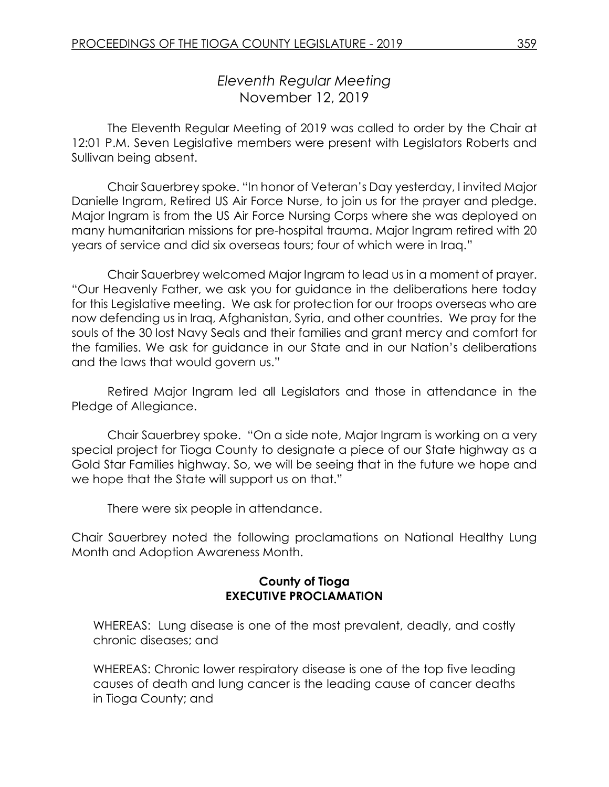# *Eleventh Regular Meeting* November 12, 2019

The Eleventh Regular Meeting of 2019 was called to order by the Chair at 12:01 P.M. Seven Legislative members were present with Legislators Roberts and Sullivan being absent.

Chair Sauerbrey spoke. "In honor of Veteran's Day yesterday, I invited Major Danielle Ingram, Retired US Air Force Nurse, to join us for the prayer and pledge. Major Ingram is from the US Air Force Nursing Corps where she was deployed on many humanitarian missions for pre-hospital trauma. Major Ingram retired with 20 years of service and did six overseas tours; four of which were in Iraq."

Chair Sauerbrey welcomed Major Ingram to lead us in a moment of prayer. "Our Heavenly Father, we ask you for guidance in the deliberations here today for this Legislative meeting. We ask for protection for our troops overseas who are now defending us in Iraq, Afghanistan, Syria, and other countries. We pray for the souls of the 30 lost Navy Seals and their families and grant mercy and comfort for the families. We ask for guidance in our State and in our Nation's deliberations and the laws that would govern us."

Retired Major Ingram led all Legislators and those in attendance in the Pledge of Allegiance.

Chair Sauerbrey spoke. "On a side note, Major Ingram is working on a very special project for Tioga County to designate a piece of our State highway as a Gold Star Families highway. So, we will be seeing that in the future we hope and we hope that the State will support us on that."

There were six people in attendance.

Chair Sauerbrey noted the following proclamations on National Healthy Lung Month and Adoption Awareness Month.

### **County of Tioga EXECUTIVE PROCLAMATION**

WHEREAS: Lung disease is one of the most prevalent, deadly, and costly chronic diseases; and

WHEREAS: Chronic lower respiratory disease is one of the top five leading causes of death and lung cancer is the leading cause of cancer deaths in Tioga County; and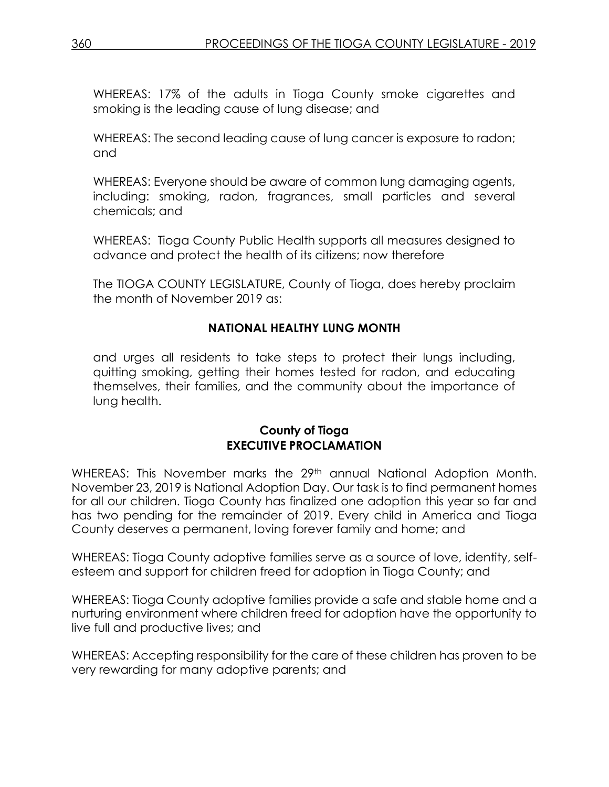WHEREAS: 17% of the adults in Tioga County smoke cigarettes and smoking is the leading cause of lung disease; and

WHEREAS: The second leading cause of lung cancer is exposure to radon; and

WHEREAS: Everyone should be aware of common lung damaging agents, including: smoking, radon, fragrances, small particles and several chemicals; and

WHEREAS: Tioga County Public Health supports all measures designed to advance and protect the health of its citizens; now therefore

The TIOGA COUNTY LEGISLATURE, County of Tioga, does hereby proclaim the month of November 2019 as:

# **NATIONAL HEALTHY LUNG MONTH**

and urges all residents to take steps to protect their lungs including, quitting smoking, getting their homes tested for radon, and educating themselves, their families, and the community about the importance of lung health.

#### **County of Tioga EXECUTIVE PROCLAMATION**

WHEREAS: This November marks the 29<sup>th</sup> annual National Adoption Month. November 23, 2019 is National Adoption Day. Our task is to find permanent homes for all our children. Tioga County has finalized one adoption this year so far and has two pending for the remainder of 2019. Every child in America and Tioga County deserves a permanent, loving forever family and home; and

WHEREAS: Tioga County adoptive families serve as a source of love, identity, selfesteem and support for children freed for adoption in Tioga County; and

WHEREAS: Tioga County adoptive families provide a safe and stable home and a nurturing environment where children freed for adoption have the opportunity to live full and productive lives; and

WHEREAS: Accepting responsibility for the care of these children has proven to be very rewarding for many adoptive parents; and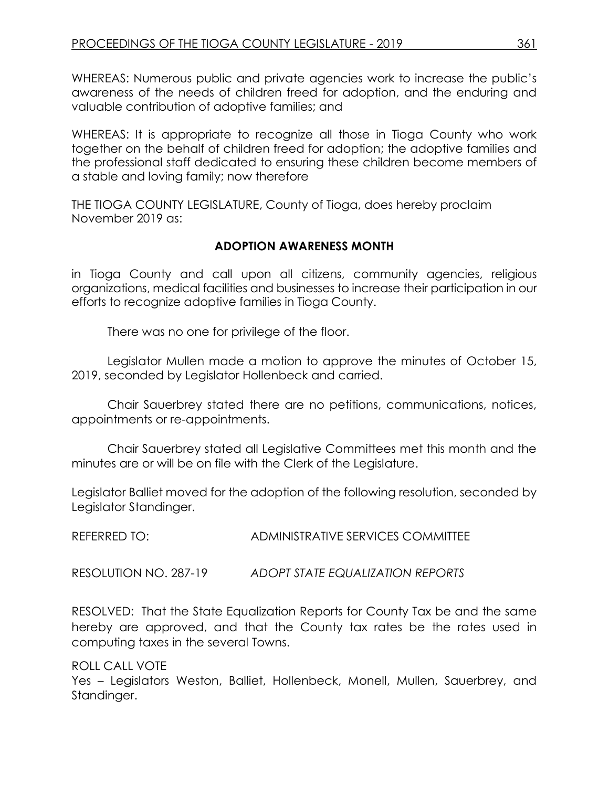WHEREAS: Numerous public and private agencies work to increase the public's awareness of the needs of children freed for adoption, and the enduring and valuable contribution of adoptive families; and

WHEREAS: It is appropriate to recognize all those in Tioga County who work together on the behalf of children freed for adoption; the adoptive families and the professional staff dedicated to ensuring these children become members of a stable and loving family; now therefore

THE TIOGA COUNTY LEGISLATURE, County of Tioga, does hereby proclaim November 2019 as:

### **ADOPTION AWARENESS MONTH**

in Tioga County and call upon all citizens, community agencies, religious organizations, medical facilities and businesses to increase their participation in our efforts to recognize adoptive families in Tioga County.

There was no one for privilege of the floor.

Legislator Mullen made a motion to approve the minutes of October 15, 2019, seconded by Legislator Hollenbeck and carried.

Chair Sauerbrey stated there are no petitions, communications, notices, appointments or re-appointments.

Chair Sauerbrey stated all Legislative Committees met this month and the minutes are or will be on file with the Clerk of the Legislature.

Legislator Balliet moved for the adoption of the following resolution, seconded by Legislator Standinger.

REFERRED TO: ADMINISTRATIVE SERVICES COMMITTEE

RESOLUTION NO. 287-19 *ADOPT STATE EQUALIZATION REPORTS*

RESOLVED: That the State Equalization Reports for County Tax be and the same hereby are approved, and that the County tax rates be the rates used in computing taxes in the several Towns.

ROLL CALL VOTE

Yes – Legislators Weston, Balliet, Hollenbeck, Monell, Mullen, Sauerbrey, and Standinger.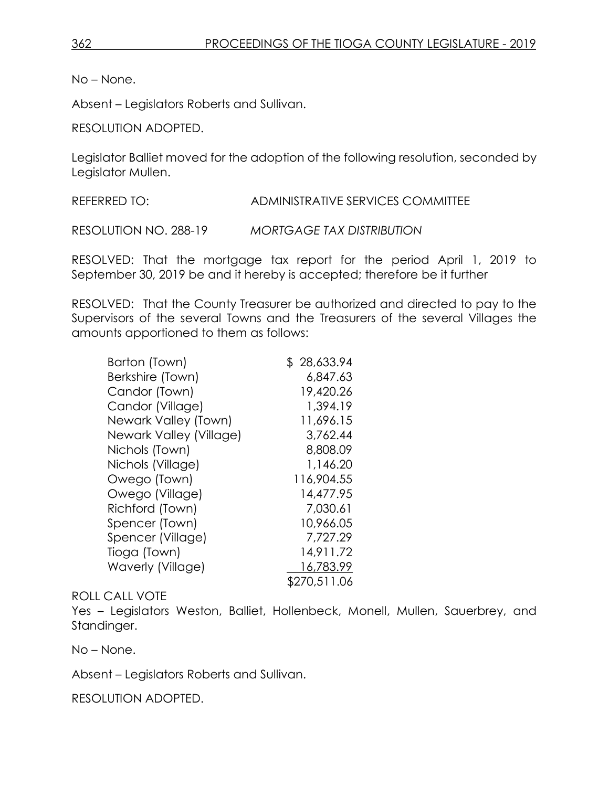No – None.

Absent – Legislators Roberts and Sullivan.

RESOLUTION ADOPTED.

Legislator Balliet moved for the adoption of the following resolution, seconded by Legislator Mullen.

REFERRED TO: ADMINISTRATIVE SERVICES COMMITTEE

RESOLUTION NO. 288-19 *MORTGAGE TAX DISTRIBUTION*

RESOLVED: That the mortgage tax report for the period April 1, 2019 to September 30, 2019 be and it hereby is accepted; therefore be it further

RESOLVED: That the County Treasurer be authorized and directed to pay to the Supervisors of the several Towns and the Treasurers of the several Villages the amounts apportioned to them as follows:

| Barton (Town)           | \$28,633.94  |
|-------------------------|--------------|
| Berkshire (Town)        | 6,847.63     |
| Candor (Town)           | 19,420.26    |
| Candor (Village)        | 1,394.19     |
| Newark Valley (Town)    | 11,696.15    |
| Newark Valley (Village) | 3,762.44     |
| Nichols (Town)          | 8,808.09     |
| Nichols (Village)       | 1,146.20     |
| Owego (Town)            | 116,904.55   |
| Owego (Village)         | 14,477.95    |
| Richford (Town)         | 7,030.61     |
| Spencer (Town)          | 10,966.05    |
| Spencer (Village)       | 7,727.29     |
| Tioga (Town)            | 14,911.72    |
| Waverly (Village)       | 16,783.99    |
|                         | \$270,511.06 |

#### ROLL CALL VOTE

Yes – Legislators Weston, Balliet, Hollenbeck, Monell, Mullen, Sauerbrey, and Standinger.

No – None.

Absent – Legislators Roberts and Sullivan.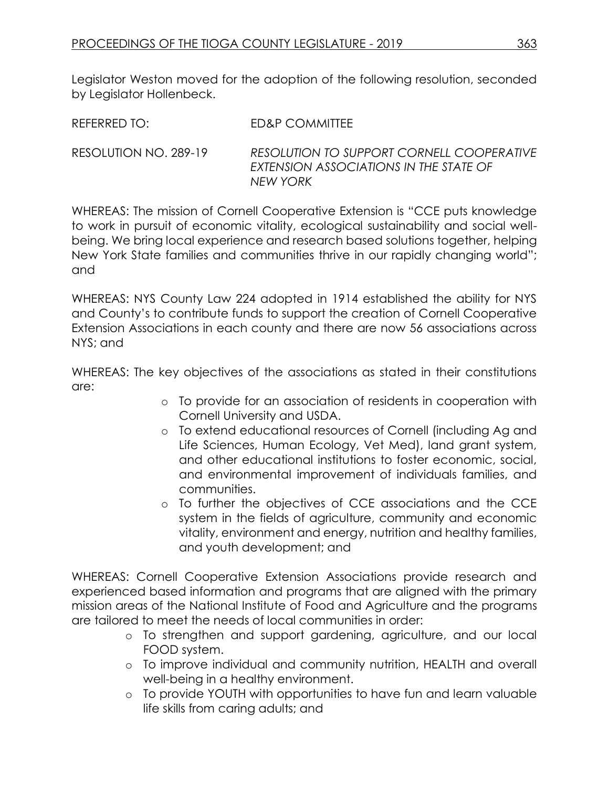Legislator Weston moved for the adoption of the following resolution, seconded by Legislator Hollenbeck.

| REFERRED TO: | ED&P COMMITTEE                   |
|--------------|----------------------------------|
|              |                                  |
|              | DFCOMIITONITO RIDDODT CODNIIII C |

RESOLUTION NO. 289-19 *RESOLUTION TO SUPPORT CORNELL COOPERATIVE EXTENSION ASSOCIATIONS IN THE STATE OF NEW YORK* 

WHEREAS: The mission of Cornell Cooperative Extension is "CCE puts knowledge to work in pursuit of economic vitality, ecological sustainability and social wellbeing. We bring local experience and research based solutions together, helping New York State families and communities thrive in our rapidly changing world"; and

WHEREAS: NYS County Law 224 adopted in 1914 established the ability for NYS and County's to contribute funds to support the creation of Cornell Cooperative Extension Associations in each county and there are now 56 associations across NYS; and

WHEREAS: The key objectives of the associations as stated in their constitutions are:

- o To provide for an association of residents in cooperation with Cornell University and USDA.
- o To extend educational resources of Cornell (including Ag and Life Sciences, Human Ecology, Vet Med), land grant system, and other educational institutions to foster economic, social, and environmental improvement of individuals families, and communities.
- o To further the objectives of CCE associations and the CCE system in the fields of agriculture, community and economic vitality, environment and energy, nutrition and healthy families, and youth development; and

WHEREAS: Cornell Cooperative Extension Associations provide research and experienced based information and programs that are aligned with the primary mission areas of the National Institute of Food and Agriculture and the programs are tailored to meet the needs of local communities in order:

- o To strengthen and support gardening, agriculture, and our local FOOD system.
- o To improve individual and community nutrition, HEALTH and overall well-being in a healthy environment.
- o To provide YOUTH with opportunities to have fun and learn valuable life skills from caring adults; and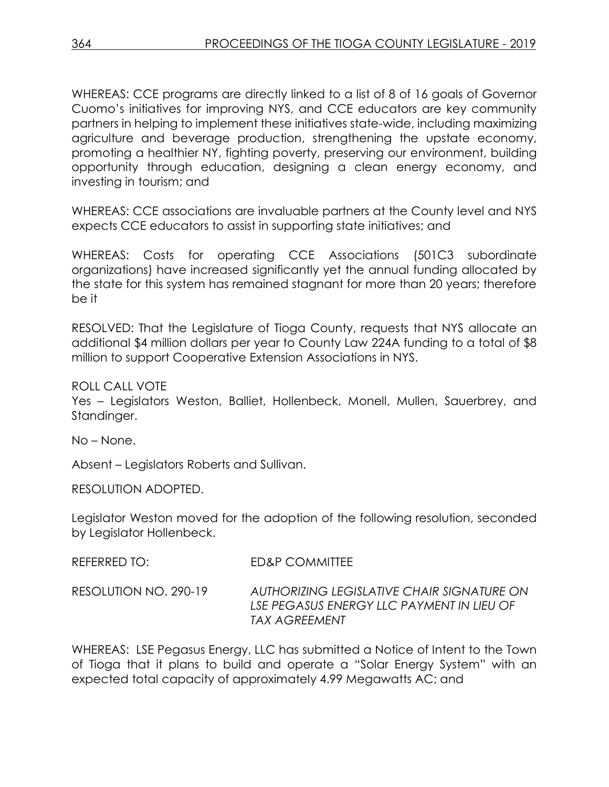WHEREAS: CCE programs are directly linked to a list of 8 of 16 goals of Governor Cuomo's initiatives for improving NYS, and CCE educators are key community partners in helping to implement these initiatives state-wide, including maximizing agriculture and beverage production, strengthening the upstate economy, promoting a healthier NY, fighting poverty, preserving our environment, building opportunity through education, designing a clean energy economy, and investing in tourism; and

WHEREAS: CCE associations are invaluable partners at the County level and NYS expects CCE educators to assist in supporting state initiatives; and

WHEREAS: Costs for operating CCE Associations (501C3 subordinate organizations) have increased significantly yet the annual funding allocated by the state for this system has remained stagnant for more than 20 years; therefore be it

RESOLVED: That the Legislature of Tioga County, requests that NYS allocate an additional \$4 million dollars per year to County Law 224A funding to a total of \$8 million to support Cooperative Extension Associations in NYS.

ROLL CALL VOTE

Yes – Legislators Weston, Balliet, Hollenbeck, Monell, Mullen, Sauerbrey, and Standinger.

No – None.

Absent – Legislators Roberts and Sullivan.

RESOLUTION ADOPTED.

Legislator Weston moved for the adoption of the following resolution, seconded by Legislator Hollenbeck.

| REFERRED TO:          | ED&P COMMITTEE                                                                                           |
|-----------------------|----------------------------------------------------------------------------------------------------------|
| RESOLUTION NO. 290-19 | AUTHORIZING LEGISLATIVE CHAIR SIGNATURE ON<br>LSE PEGASUS ENERGY LLC PAYMENT IN LIEU OF<br>TAX AGREEMENT |

WHEREAS: LSE Pegasus Energy, LLC has submitted a Notice of Intent to the Town of Tioga that it plans to build and operate a "Solar Energy System" with an expected total capacity of approximately 4.99 Megawatts AC; and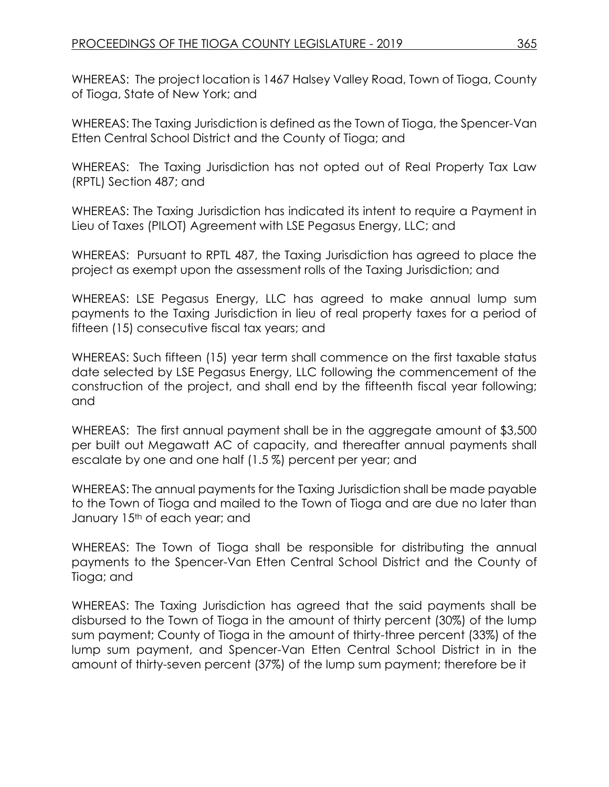WHEREAS: The project location is 1467 Halsey Valley Road, Town of Tioga, County of Tioga, State of New York; and

WHEREAS: The Taxing Jurisdiction is defined as the Town of Tioga, the Spencer-Van Etten Central School District and the County of Tioga; and

WHEREAS: The Taxing Jurisdiction has not opted out of Real Property Tax Law (RPTL) Section 487; and

WHEREAS: The Taxing Jurisdiction has indicated its intent to require a Payment in Lieu of Taxes (PILOT) Agreement with LSE Pegasus Energy, LLC; and

WHEREAS: Pursuant to RPTL 487, the Taxing Jurisdiction has agreed to place the project as exempt upon the assessment rolls of the Taxing Jurisdiction; and

WHEREAS: LSE Pegasus Energy, LLC has agreed to make annual lump sum payments to the Taxing Jurisdiction in lieu of real property taxes for a period of fifteen (15) consecutive fiscal tax years; and

WHEREAS: Such fifteen (15) year term shall commence on the first taxable status date selected by LSE Pegasus Energy, LLC following the commencement of the construction of the project, and shall end by the fifteenth fiscal year following; and

WHEREAS: The first annual payment shall be in the aggregate amount of \$3,500 per built out Megawatt AC of capacity, and thereafter annual payments shall escalate by one and one half (1.5 %) percent per year; and

WHEREAS: The annual payments for the Taxing Jurisdiction shall be made payable to the Town of Tioga and mailed to the Town of Tioga and are due no later than January 15<sup>th</sup> of each year; and

WHEREAS: The Town of Tioga shall be responsible for distributing the annual payments to the Spencer-Van Etten Central School District and the County of Tioga; and

WHEREAS: The Taxing Jurisdiction has agreed that the said payments shall be disbursed to the Town of Tioga in the amount of thirty percent (30%) of the lump sum payment; County of Tioga in the amount of thirty-three percent (33%) of the lump sum payment, and Spencer-Van Etten Central School District in in the amount of thirty-seven percent (37%) of the lump sum payment; therefore be it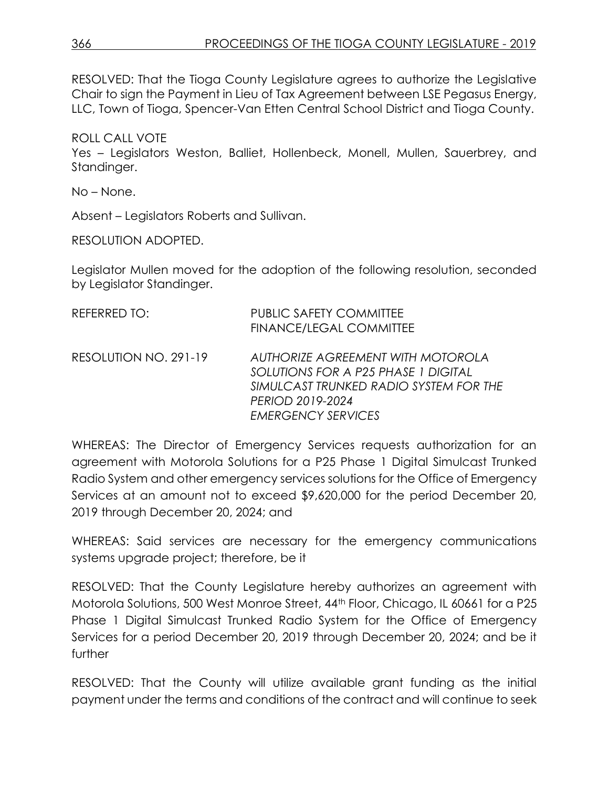RESOLVED: That the Tioga County Legislature agrees to authorize the Legislative Chair to sign the Payment in Lieu of Tax Agreement between LSE Pegasus Energy, LLC, Town of Tioga, Spencer-Van Etten Central School District and Tioga County.

## ROLL CALL VOTE

Yes – Legislators Weston, Balliet, Hollenbeck, Monell, Mullen, Sauerbrey, and Standinger.

No – None.

Absent – Legislators Roberts and Sullivan.

RESOLUTION ADOPTED.

Legislator Mullen moved for the adoption of the following resolution, seconded by Legislator Standinger.

| REFERRED TO:          | <b>PUBLIC SAFETY COMMITTEE</b><br><b>FINANCE/LEGAL COMMITTEE</b>                                                                                                           |
|-----------------------|----------------------------------------------------------------------------------------------------------------------------------------------------------------------------|
| RESOLUTION NO. 291-19 | <b>AUTHORIZE AGREEMENT WITH MOTOROLA</b><br>SOLUTIONS FOR A P25 PHASE 1 DIGITAL<br>SIMULCAST TRUNKED RADIO SYSTEM FOR THE<br>PERIOD 2019-2024<br><b>EMERGENCY SERVICES</b> |

WHEREAS: The Director of Emergency Services requests authorization for an agreement with Motorola Solutions for a P25 Phase 1 Digital Simulcast Trunked Radio System and other emergency services solutions for the Office of Emergency Services at an amount not to exceed \$9,620,000 for the period December 20, 2019 through December 20, 2024; and

WHEREAS: Said services are necessary for the emergency communications systems upgrade project; therefore, be it

RESOLVED: That the County Legislature hereby authorizes an agreement with Motorola Solutions, 500 West Monroe Street, 44th Floor, Chicago, IL 60661 for a P25 Phase 1 Digital Simulcast Trunked Radio System for the Office of Emergency Services for a period December 20, 2019 through December 20, 2024; and be it further

RESOLVED: That the County will utilize available grant funding as the initial payment under the terms and conditions of the contract and will continue to seek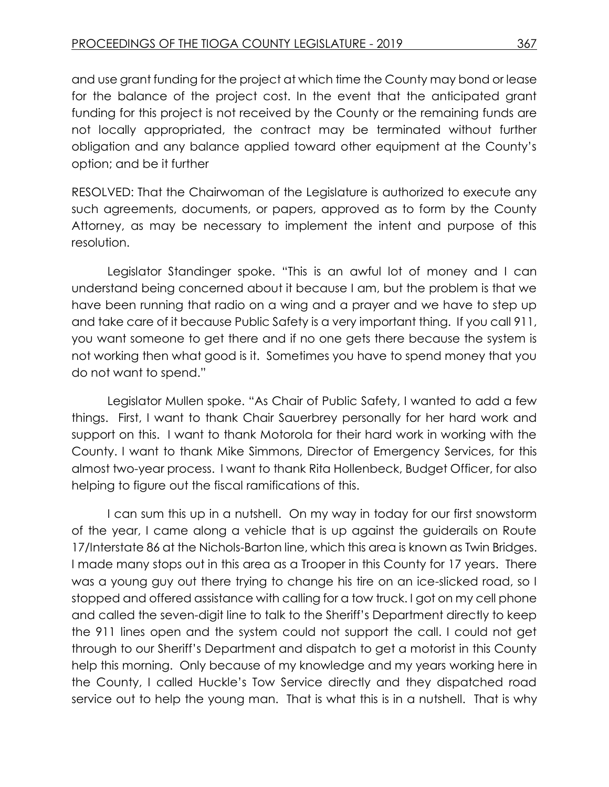and use grant funding for the project at which time the County may bond or lease for the balance of the project cost. In the event that the anticipated grant funding for this project is not received by the County or the remaining funds are not locally appropriated, the contract may be terminated without further obligation and any balance applied toward other equipment at the County's option; and be it further

RESOLVED: That the Chairwoman of the Legislature is authorized to execute any such agreements, documents, or papers, approved as to form by the County Attorney, as may be necessary to implement the intent and purpose of this resolution.

Legislator Standinger spoke. "This is an awful lot of money and I can understand being concerned about it because I am, but the problem is that we have been running that radio on a wing and a prayer and we have to step up and take care of it because Public Safety is a very important thing. If you call 911, you want someone to get there and if no one gets there because the system is not working then what good is it. Sometimes you have to spend money that you do not want to spend."

Legislator Mullen spoke. "As Chair of Public Safety, I wanted to add a few things. First, I want to thank Chair Sauerbrey personally for her hard work and support on this. I want to thank Motorola for their hard work in working with the County. I want to thank Mike Simmons, Director of Emergency Services, for this almost two-year process. I want to thank Rita Hollenbeck, Budget Officer, for also helping to figure out the fiscal ramifications of this.

I can sum this up in a nutshell. On my way in today for our first snowstorm of the year, I came along a vehicle that is up against the guiderails on Route 17/Interstate 86 at the Nichols-Barton line, which this area is known as Twin Bridges. I made many stops out in this area as a Trooper in this County for 17 years. There was a young guy out there trying to change his tire on an ice-slicked road, so I stopped and offered assistance with calling for a tow truck. I got on my cell phone and called the seven-digit line to talk to the Sheriff's Department directly to keep the 911 lines open and the system could not support the call. I could not get through to our Sheriff's Department and dispatch to get a motorist in this County help this morning. Only because of my knowledge and my years working here in the County, I called Huckle's Tow Service directly and they dispatched road service out to help the young man. That is what this is in a nutshell. That is why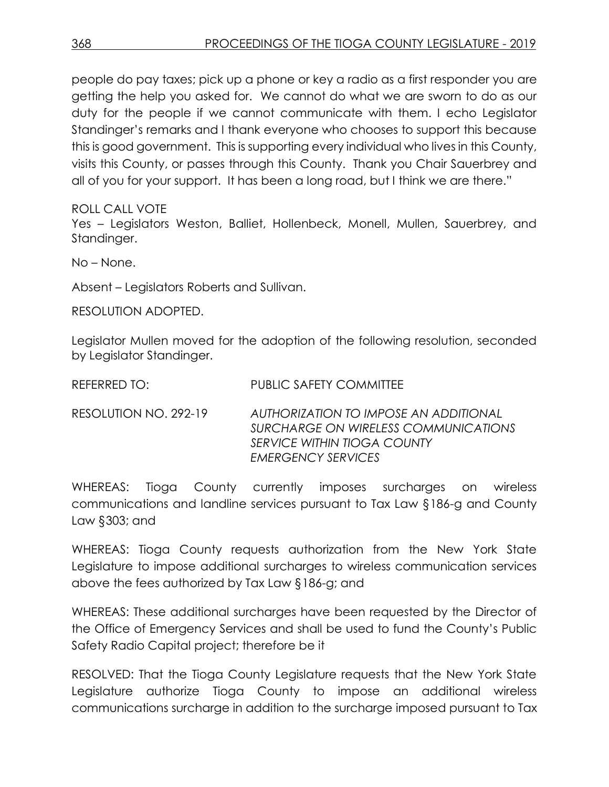people do pay taxes; pick up a phone or key a radio as a first responder you are getting the help you asked for. We cannot do what we are sworn to do as our duty for the people if we cannot communicate with them. I echo Legislator Standinger's remarks and I thank everyone who chooses to support this because this is good government. This is supporting every individual who lives in this County, visits this County, or passes through this County. Thank you Chair Sauerbrey and all of you for your support. It has been a long road, but I think we are there."

ROLL CALL VOTE

Yes – Legislators Weston, Balliet, Hollenbeck, Monell, Mullen, Sauerbrey, and Standinger.

No – None.

Absent – Legislators Roberts and Sullivan.

RESOLUTION ADOPTED.

Legislator Mullen moved for the adoption of the following resolution, seconded by Legislator Standinger.

| REFERRED TO:          | <b>PUBLIC SAFETY COMMITTEE</b>                                                                                                            |
|-----------------------|-------------------------------------------------------------------------------------------------------------------------------------------|
| RESOLUTION NO. 292-19 | AUTHORIZATION TO IMPOSE AN ADDITIONAL<br>SURCHARGE ON WIRELESS COMMUNICATIONS<br>SERVICE WITHIN TIOGA COUNTY<br><b>EMERGENCY SERVICES</b> |

WHEREAS: Tioga County currently imposes surcharges on wireless communications and landline services pursuant to Tax Law §186-g and County Law §303; and

WHEREAS: Tioga County requests authorization from the New York State Legislature to impose additional surcharges to wireless communication services above the fees authorized by Tax Law §186-g; and

WHEREAS: These additional surcharges have been requested by the Director of the Office of Emergency Services and shall be used to fund the County's Public Safety Radio Capital project; therefore be it

RESOLVED: That the Tioga County Legislature requests that the New York State Legislature authorize Tioga County to impose an additional wireless communications surcharge in addition to the surcharge imposed pursuant to Tax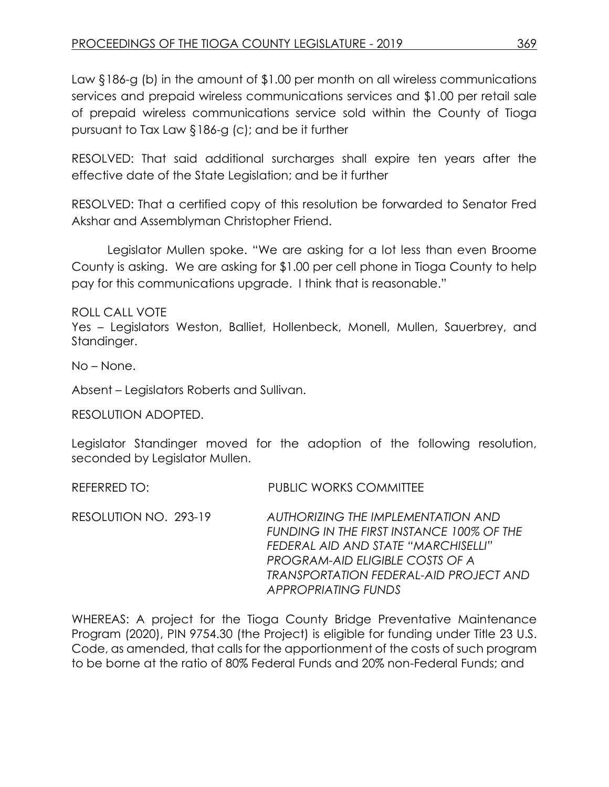Law §186-g (b) in the amount of \$1.00 per month on all wireless communications services and prepaid wireless communications services and \$1.00 per retail sale of prepaid wireless communications service sold within the County of Tioga pursuant to Tax Law §186-g (c); and be it further

RESOLVED: That said additional surcharges shall expire ten years after the effective date of the State Legislation; and be it further

RESOLVED: That a certified copy of this resolution be forwarded to Senator Fred Akshar and Assemblyman Christopher Friend.

Legislator Mullen spoke. "We are asking for a lot less than even Broome County is asking. We are asking for \$1.00 per cell phone in Tioga County to help pay for this communications upgrade. I think that is reasonable."

ROLL CALL VOTE

Yes – Legislators Weston, Balliet, Hollenbeck, Monell, Mullen, Sauerbrey, and Standinger.

No – None.

Absent – Legislators Roberts and Sullivan.

RESOLUTION ADOPTED.

Legislator Standinger moved for the adoption of the following resolution, seconded by Legislator Mullen.

REFERRED TO: PUBLIC WORKS COMMITTEE

RESOLUTION NO. 293-19 *AUTHORIZING THE IMPLEMENTATION AND FUNDING IN THE FIRST INSTANCE 100% OF THE FEDERAL AID AND STATE "MARCHISELLI" PROGRAM-AID ELIGIBLE COSTS OF A TRANSPORTATION FEDERAL-AID PROJECT AND APPROPRIATING FUNDS*

WHEREAS: A project for the Tioga County Bridge Preventative Maintenance Program (2020), PIN 9754.30 (the Project) is eligible for funding under Title 23 U.S. Code, as amended, that calls for the apportionment of the costs of such program to be borne at the ratio of 80% Federal Funds and 20% non-Federal Funds; and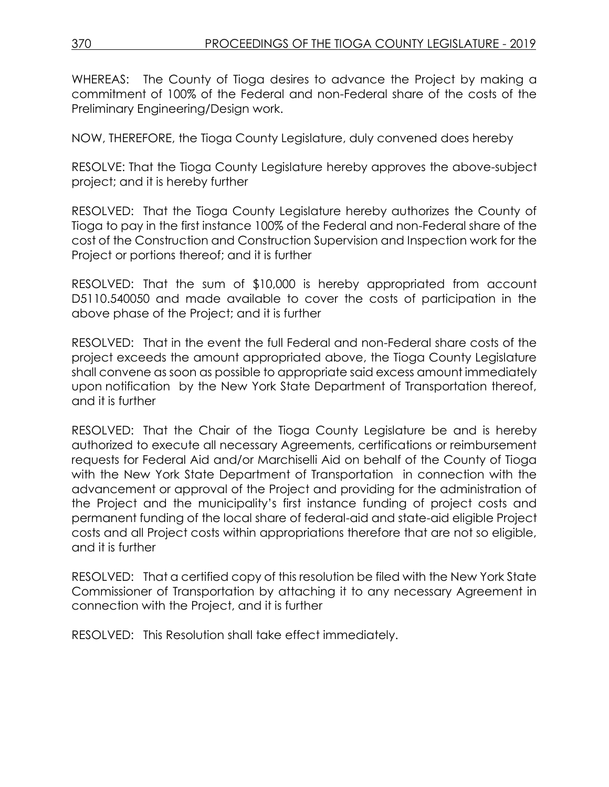WHEREAS: The County of Tioga desires to advance the Project by making a commitment of 100% of the Federal and non-Federal share of the costs of the Preliminary Engineering/Design work.

NOW, THEREFORE, the Tioga County Legislature, duly convened does hereby

RESOLVE: That the Tioga County Legislature hereby approves the above-subject project; and it is hereby further

RESOLVED: That the Tioga County Legislature hereby authorizes the County of Tioga to pay in the first instance 100% of the Federal and non-Federal share of the cost of the Construction and Construction Supervision and Inspection work for the Project or portions thereof; and it is further

RESOLVED: That the sum of \$10,000 is hereby appropriated from account D5110.540050 and made available to cover the costs of participation in the above phase of the Project; and it is further

RESOLVED: That in the event the full Federal and non-Federal share costs of the project exceeds the amount appropriated above, the Tioga County Legislature shall convene as soon as possible to appropriate said excess amount immediately upon notification by the New York State Department of Transportation thereof, and it is further

RESOLVED: That the Chair of the Tioga County Legislature be and is hereby authorized to execute all necessary Agreements, certifications or reimbursement requests for Federal Aid and/or Marchiselli Aid on behalf of the County of Tioga with the New York State Department of Transportation in connection with the advancement or approval of the Project and providing for the administration of the Project and the municipality's first instance funding of project costs and permanent funding of the local share of federal-aid and state-aid eligible Project costs and all Project costs within appropriations therefore that are not so eligible, and it is further

RESOLVED: That a certified copy of this resolution be filed with the New York State Commissioner of Transportation by attaching it to any necessary Agreement in connection with the Project, and it is further

RESOLVED: This Resolution shall take effect immediately.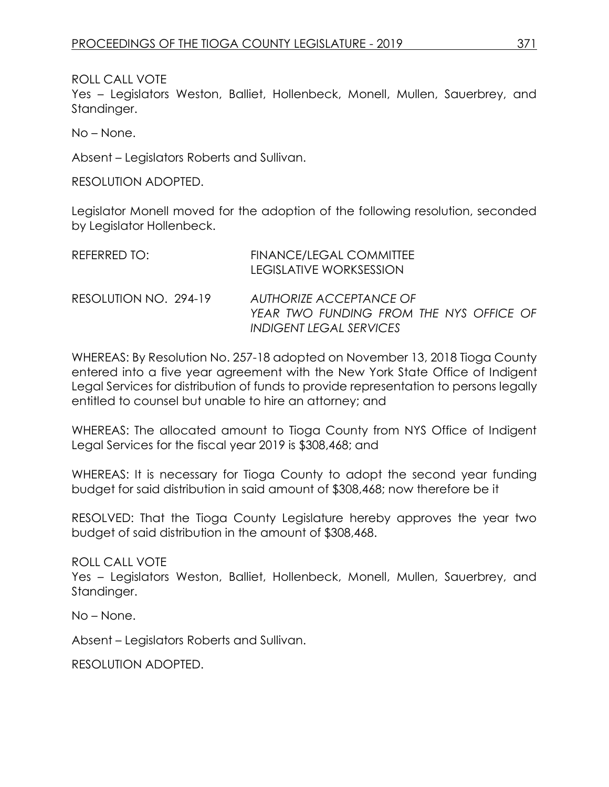ROLL CALL VOTE

Yes – Legislators Weston, Balliet, Hollenbeck, Monell, Mullen, Sauerbrey, and Standinger.

No – None.

Absent – Legislators Roberts and Sullivan.

RESOLUTION ADOPTED.

Legislator Monell moved for the adoption of the following resolution, seconded by Legislator Hollenbeck.

| REFERRED TO:          | <b>FINANCE/LEGAL COMMITTEE</b><br>LEGISLATIVE WORKSESSION                                            |
|-----------------------|------------------------------------------------------------------------------------------------------|
| RESOLUTION NO. 294-19 | AUTHORIZE ACCEPTANCE OF<br>YEAR TWO FUNDING FROM THE NYS OFFICE OF<br><b>INDIGENT LEGAL SERVICES</b> |

WHEREAS: By Resolution No. 257-18 adopted on November 13, 2018 Tioga County entered into a five year agreement with the New York State Office of Indigent Legal Services for distribution of funds to provide representation to persons legally entitled to counsel but unable to hire an attorney; and

WHEREAS: The allocated amount to Tioga County from NYS Office of Indigent Legal Services for the fiscal year 2019 is \$308,468; and

WHEREAS: It is necessary for Tioga County to adopt the second year funding budget for said distribution in said amount of \$308,468; now therefore be it

RESOLVED: That the Tioga County Legislature hereby approves the year two budget of said distribution in the amount of \$308,468.

ROLL CALL VOTE Yes – Legislators Weston, Balliet, Hollenbeck, Monell, Mullen, Sauerbrey, and Standinger.

No – None.

Absent – Legislators Roberts and Sullivan.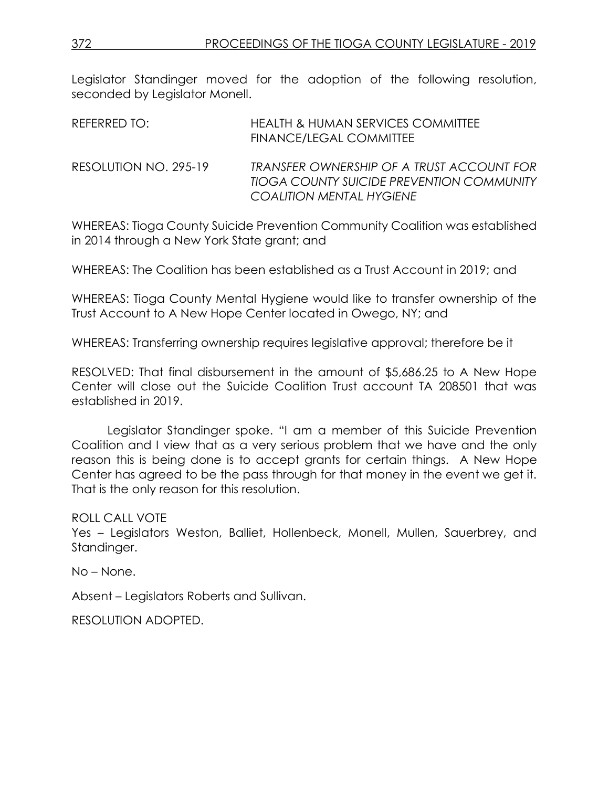Legislator Standinger moved for the adoption of the following resolution, seconded by Leaislator Monell.

| REFERRED TO:          | HEALTH & HUMAN SERVICES COMMITTEE<br><b>FINANCE/LEGAL COMMITTEE</b>                                                       |
|-----------------------|---------------------------------------------------------------------------------------------------------------------------|
| RESOLUTION NO. 295-19 | TRANSFER OWNERSHIP OF A TRUST ACCOUNT FOR<br>TIOGA COUNTY SUICIDE PREVENTION COMMUNITY<br><b>COALITION MENTAL HYGIENE</b> |

WHEREAS: Tioga County Suicide Prevention Community Coalition was established in 2014 through a New York State grant; and

WHEREAS: The Coalition has been established as a Trust Account in 2019; and

WHEREAS: Tioga County Mental Hygiene would like to transfer ownership of the Trust Account to A New Hope Center located in Owego, NY; and

WHEREAS: Transferring ownership requires legislative approval; therefore be it

RESOLVED: That final disbursement in the amount of \$5,686.25 to A New Hope Center will close out the Suicide Coalition Trust account TA 208501 that was established in 2019.

Legislator Standinger spoke. "I am a member of this Suicide Prevention Coalition and I view that as a very serious problem that we have and the only reason this is being done is to accept grants for certain things. A New Hope Center has agreed to be the pass through for that money in the event we get it. That is the only reason for this resolution.

ROLL CALL VOTE

Yes – Legislators Weston, Balliet, Hollenbeck, Monell, Mullen, Sauerbrey, and Standinger.

No – None.

Absent – Legislators Roberts and Sullivan.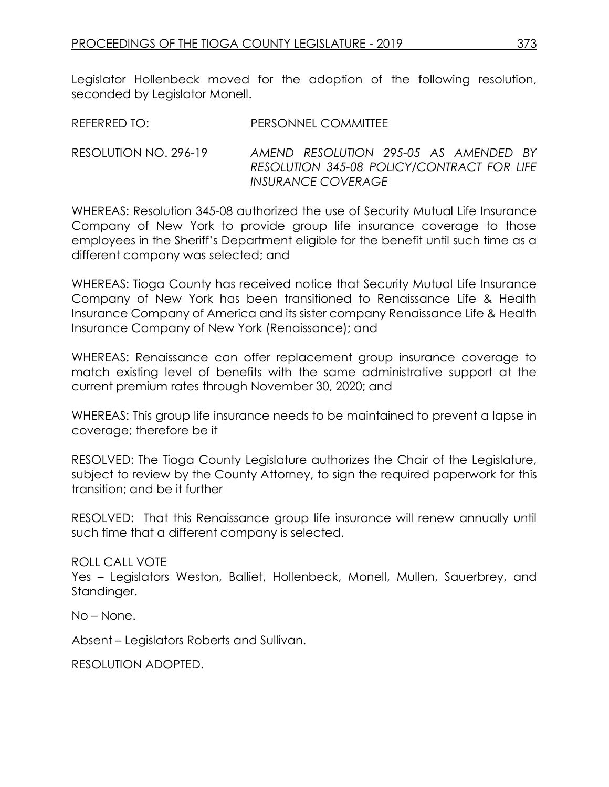Legislator Hollenbeck moved for the adoption of the following resolution, seconded by Legislator Monell.

| REFERRED TO: | PERSONNEL COMMITTEE |
|--------------|---------------------|
|              |                     |

RESOLUTION NO. 296-19 *AMEND RESOLUTION 295-05 AS AMENDED BY RESOLUTION 345-08 POLICY/CONTRACT FOR LIFE INSURANCE COVERAGE* 

WHEREAS: Resolution 345-08 authorized the use of Security Mutual Life Insurance Company of New York to provide group life insurance coverage to those employees in the Sheriff's Department eligible for the benefit until such time as a different company was selected; and

WHEREAS: Tioga County has received notice that Security Mutual Life Insurance Company of New York has been transitioned to Renaissance Life & Health Insurance Company of America and its sister company Renaissance Life & Health Insurance Company of New York (Renaissance); and

WHEREAS: Renaissance can offer replacement group insurance coverage to match existing level of benefits with the same administrative support at the current premium rates through November 30, 2020; and

WHEREAS: This group life insurance needs to be maintained to prevent a lapse in coverage; therefore be it

RESOLVED: The Tioga County Legislature authorizes the Chair of the Legislature, subject to review by the County Attorney, to sign the required paperwork for this transition; and be it further

RESOLVED: That this Renaissance group life insurance will renew annually until such time that a different company is selected.

ROLL CALL VOTE

Yes – Legislators Weston, Balliet, Hollenbeck, Monell, Mullen, Sauerbrey, and Standinger.

No – None.

Absent – Legislators Roberts and Sullivan.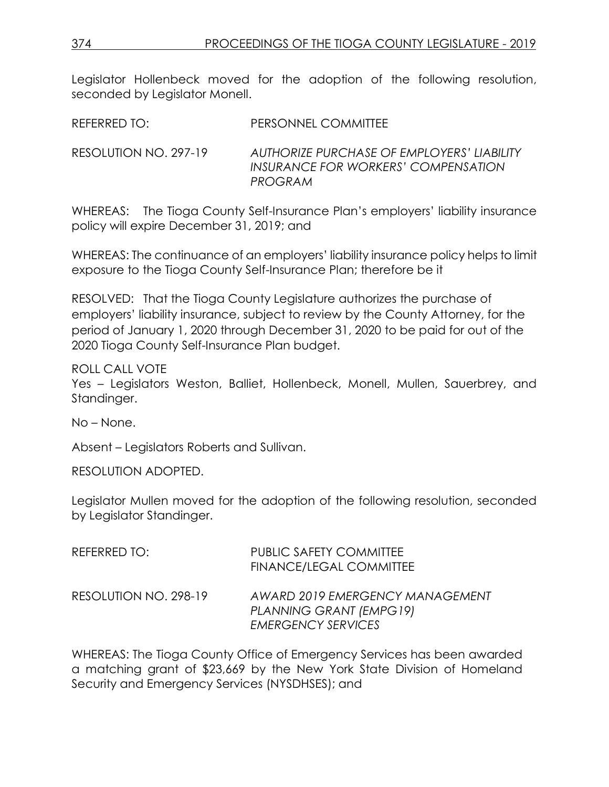Legislator Hollenbeck moved for the adoption of the following resolution, seconded by Legislator Monell.

REFERRED TO: PERSONNEL COMMITTEE

RESOLUTION NO. 297-19 *AUTHORIZE PURCHASE OF EMPLOYERS' LIABILITY INSURANCE FOR WORKERS' COMPENSATION PROGRAM*

WHEREAS: The Tioga County Self-Insurance Plan's employers' liability insurance policy will expire December 31, 2019; and

WHEREAS: The continuance of an employers' liability insurance policy helps to limit exposure to the Tioga County Self-Insurance Plan; therefore be it

RESOLVED: That the Tioga County Legislature authorizes the purchase of employers' liability insurance, subject to review by the County Attorney, for the period of January 1, 2020 through December 31, 2020 to be paid for out of the 2020 Tioga County Self-Insurance Plan budget.

ROLL CALL VOTE

Yes – Legislators Weston, Balliet, Hollenbeck, Monell, Mullen, Sauerbrey, and Standinger.

No – None.

Absent – Legislators Roberts and Sullivan.

RESOLUTION ADOPTED.

Legislator Mullen moved for the adoption of the following resolution, seconded by Legislator Standinger.

| REFERRED TO:          | <b>PUBLIC SAFETY COMMITTEE</b><br><b>FINANCE/LEGAL COMMITTEE</b>                        |
|-----------------------|-----------------------------------------------------------------------------------------|
| RESOLUTION NO. 298-19 | AWARD 2019 EMERGENCY MANAGEMENT<br>PLANNING GRANT (EMPG19)<br><b>EMERGENCY SERVICES</b> |

WHEREAS: The Tioga County Office of Emergency Services has been awarded a matching grant of \$23,669 by the New York State Division of Homeland Security and Emergency Services (NYSDHSES); and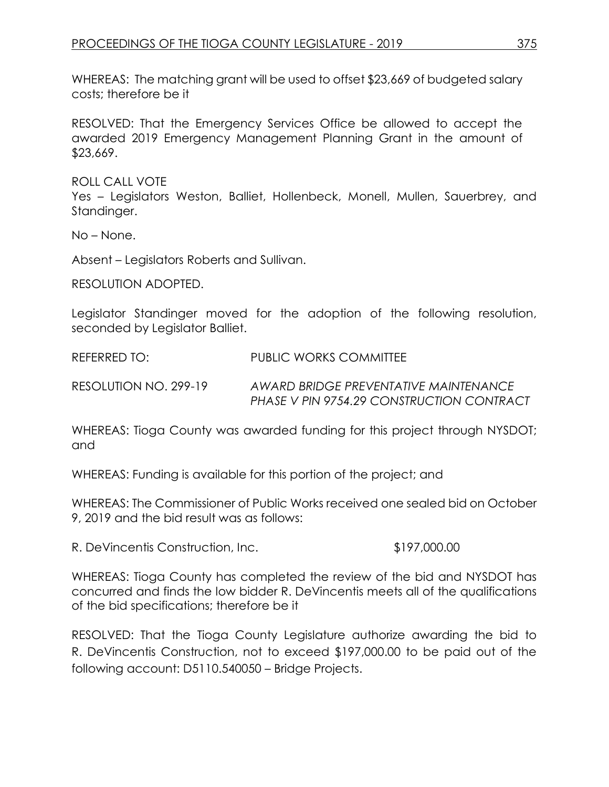WHEREAS: The matching grant will be used to offset \$23,669 of budgeted salary costs; therefore be it

RESOLVED: That the Emergency Services Office be allowed to accept the awarded 2019 Emergency Management Planning Grant in the amount of \$23,669.

ROLL CALL VOTE

Yes – Legislators Weston, Balliet, Hollenbeck, Monell, Mullen, Sauerbrey, and Standinger.

No – None.

Absent – Legislators Roberts and Sullivan.

RESOLUTION ADOPTED.

Legislator Standinger moved for the adoption of the following resolution, seconded by Legislator Balliet.

REFERRED TO: PUBLIC WORKS COMMITTEE

RESOLUTION NO. 299-19 *AWARD BRIDGE PREVENTATIVE MAINTENANCE PHASE V PIN 9754.29 CONSTRUCTION CONTRACT*

WHEREAS: Tioga County was awarded funding for this project through NYSDOT; and

WHEREAS: Funding is available for this portion of the project; and

WHEREAS: The Commissioner of Public Works received one sealed bid on October 9, 2019 and the bid result was as follows:

R. DeVincentis Construction, Inc.  $$197,000.00$ 

WHEREAS: Tioga County has completed the review of the bid and NYSDOT has concurred and finds the low bidder R. DeVincentis meets all of the qualifications of the bid specifications; therefore be it

RESOLVED: That the Tioga County Legislature authorize awarding the bid to R. DeVincentis Construction, not to exceed \$197,000.00 to be paid out of the following account: D5110.540050 – Bridge Projects.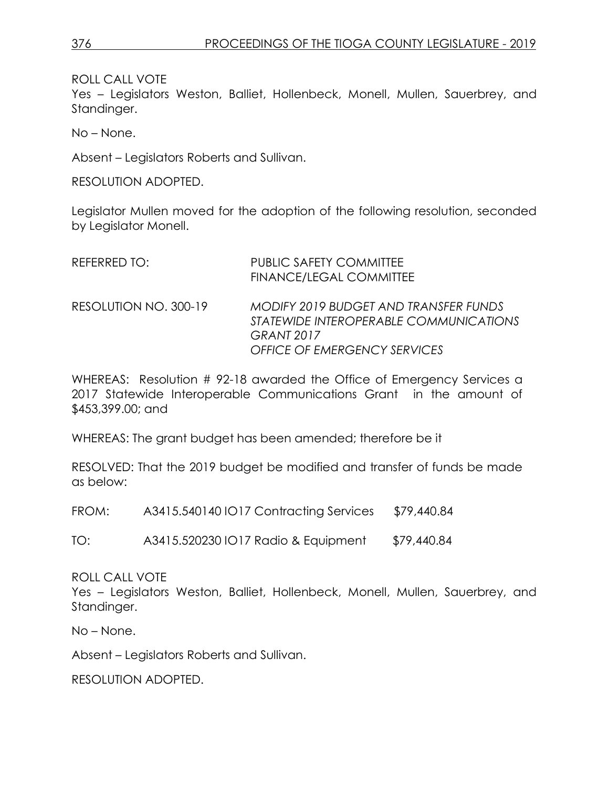ROLL CALL VOTE

Yes – Legislators Weston, Balliet, Hollenbeck, Monell, Mullen, Sauerbrey, and Standinger.

No – None.

Absent – Legislators Roberts and Sullivan.

RESOLUTION ADOPTED.

Legislator Mullen moved for the adoption of the following resolution, seconded by Legislator Monell.

| REFERRED TO:          | <b>PUBLIC SAFETY COMMITTEE</b><br><b>FINANCE/LEGAL COMMITTEE</b>                                                                            |
|-----------------------|---------------------------------------------------------------------------------------------------------------------------------------------|
| RESOLUTION NO. 300-19 | MODIFY 2019 BUDGET AND TRANSFER FUNDS<br>STATEWIDE INTEROPERABLE COMMUNICATIONS<br><b>GRANT 2017</b><br><b>OFFICE OF EMERGENCY SERVICES</b> |

WHEREAS: Resolution # 92-18 awarded the Office of Emergency Services a 2017 Statewide Interoperable Communications Grant in the amount of \$453,399.00; and

WHEREAS: The grant budget has been amended; therefore be it

RESOLVED: That the 2019 budget be modified and transfer of funds be made as below:

FROM: A3415.540140 IO17 Contracting Services \$79,440.84

TO: A3415.520230 IO17 Radio & Equipment \$79,440.84

ROLL CALL VOTE

Yes – Legislators Weston, Balliet, Hollenbeck, Monell, Mullen, Sauerbrey, and Standinger.

No – None.

Absent – Legislators Roberts and Sullivan.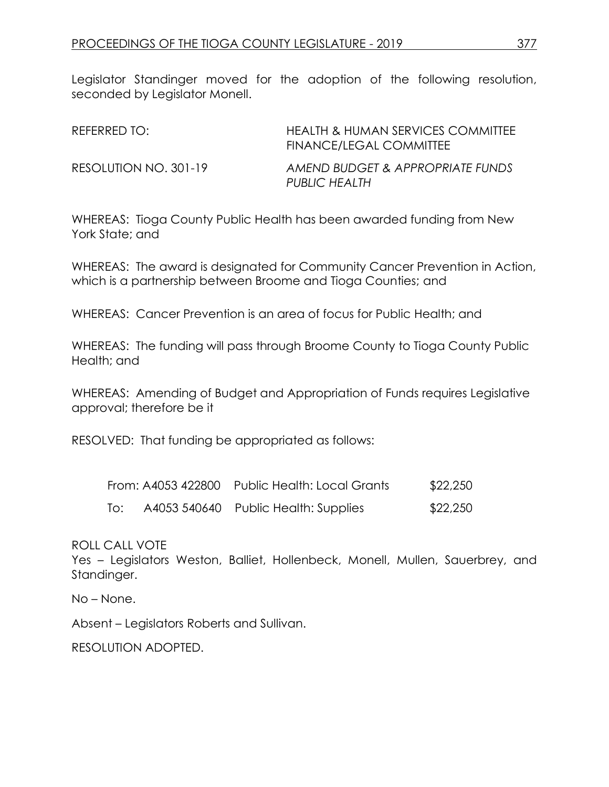Legislator Standinger moved for the adoption of the following resolution, seconded by Legislator Monell.

| REFERRED TO:          | <b>HEALTH &amp; HUMAN SERVICES COMMITTEE</b><br>FINANCE/LEGAL COMMITTEE |
|-----------------------|-------------------------------------------------------------------------|
| RESOLUTION NO. 301-19 | AMEND BUDGET & APPROPRIATE FUNDS<br>PUBLIC HEALTH                       |

WHEREAS: Tioga County Public Health has been awarded funding from New York State; and

WHEREAS: The award is designated for Community Cancer Prevention in Action, which is a partnership between Broome and Tioga Counties; and

WHEREAS: Cancer Prevention is an area of focus for Public Health; and

WHEREAS: The funding will pass through Broome County to Tioga County Public Health; and

WHEREAS: Amending of Budget and Appropriation of Funds requires Legislative approval; therefore be it

RESOLVED: That funding be appropriated as follows:

|     | From: A4053 422800 | Public Health: Local Grants          | \$22,250 |
|-----|--------------------|--------------------------------------|----------|
| To: |                    | A4053 540640 Public Health: Supplies | \$22,250 |

ROLL CALL VOTE

Yes – Legislators Weston, Balliet, Hollenbeck, Monell, Mullen, Sauerbrey, and Standinger.

No – None.

Absent – Legislators Roberts and Sullivan.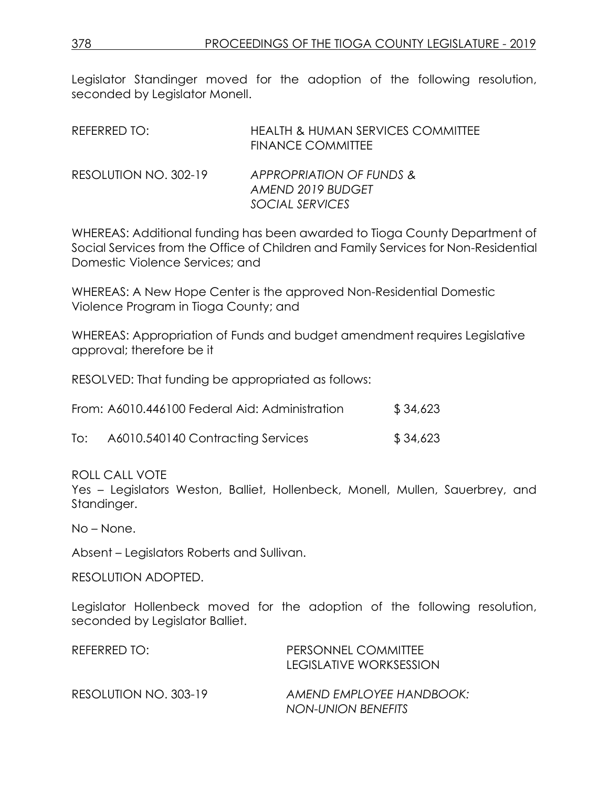Legislator Standinger moved for the adoption of the following resolution, seconded by Legislator Monell.

| REFERRED TO:          | <b>HEALTH &amp; HUMAN SERVICES COMMITTEE</b><br><b>FINANCE COMMITTEE</b> |
|-----------------------|--------------------------------------------------------------------------|
| RESOLUTION NO. 302-19 | APPROPRIATION OF FUNDS &<br>AMEND 2019 BUDGET<br>SOCIAL SERVICES         |

WHEREAS: Additional funding has been awarded to Tioga County Department of Social Services from the Office of Children and Family Services for Non-Residential Domestic Violence Services; and

WHEREAS: A New Hope Center is the approved Non-Residential Domestic Violence Program in Tioga County; and

WHEREAS: Appropriation of Funds and budget amendment requires Legislative approval; therefore be it

RESOLVED: That funding be appropriated as follows:

| From: A6010.446100 Federal Aid: Administration | \$34,623 |
|------------------------------------------------|----------|
|------------------------------------------------|----------|

| To: | A6010.540140 Contracting Services | \$34,623 |
|-----|-----------------------------------|----------|
|     |                                   |          |

ROLL CALL VOTE

Yes – Legislators Weston, Balliet, Hollenbeck, Monell, Mullen, Sauerbrey, and Standinger.

No – None.

Absent – Legislators Roberts and Sullivan.

RESOLUTION ADOPTED.

Legislator Hollenbeck moved for the adoption of the following resolution, seconded by Legislator Balliet.

| REFERRED TO:          | PERSONNEL COMMITTEE<br>LEGISLATIVE WORKSESSION |
|-----------------------|------------------------------------------------|
| RESOLUTION NO. 303-19 | AMEND EMPLOYEE HANDBOOK:<br>NON-UNION BENEFITS |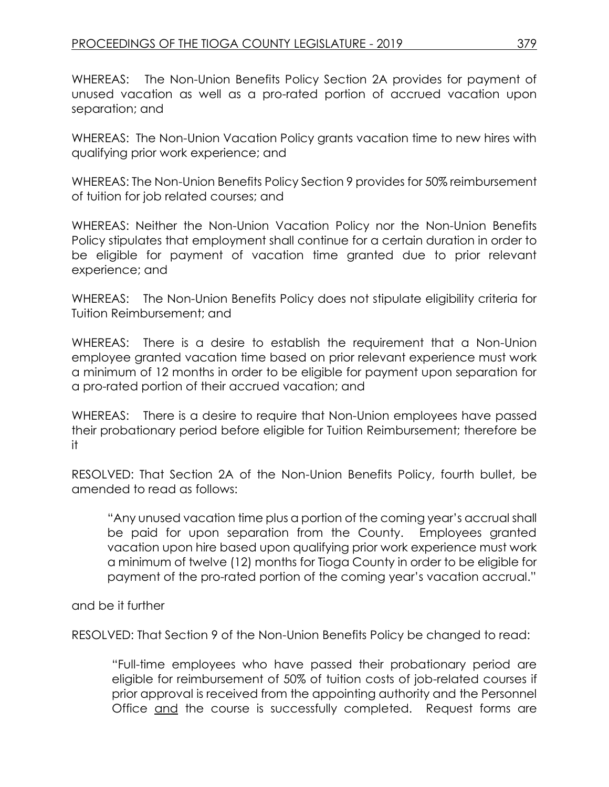WHEREAS: The Non-Union Benefits Policy Section 2A provides for payment of unused vacation as well as a pro-rated portion of accrued vacation upon separation; and

WHEREAS: The Non-Union Vacation Policy grants vacation time to new hires with qualifying prior work experience; and

WHEREAS: The Non-Union Benefits Policy Section 9 provides for 50% reimbursement of tuition for job related courses; and

WHEREAS: Neither the Non-Union Vacation Policy nor the Non-Union Benefits Policy stipulates that employment shall continue for a certain duration in order to be eligible for payment of vacation time granted due to prior relevant experience; and

WHEREAS: The Non-Union Benefits Policy does not stipulate eligibility criteria for Tuition Reimbursement; and

WHEREAS: There is a desire to establish the requirement that a Non-Union employee granted vacation time based on prior relevant experience must work a minimum of 12 months in order to be eligible for payment upon separation for a pro-rated portion of their accrued vacation; and

WHEREAS: There is a desire to require that Non-Union employees have passed their probationary period before eligible for Tuition Reimbursement; therefore be it

RESOLVED: That Section 2A of the Non-Union Benefits Policy, fourth bullet, be amended to read as follows:

"Any unused vacation time plus a portion of the coming year's accrual shall be paid for upon separation from the County. Employees granted vacation upon hire based upon qualifying prior work experience must work a minimum of twelve (12) months for Tioga County in order to be eligible for payment of the pro-rated portion of the coming year's vacation accrual."

and be it further

RESOLVED: That Section 9 of the Non-Union Benefits Policy be changed to read:

"Full-time employees who have passed their probationary period are eligible for reimbursement of 50% of tuition costs of job-related courses if prior approval is received from the appointing authority and the Personnel Office and the course is successfully completed. Request forms are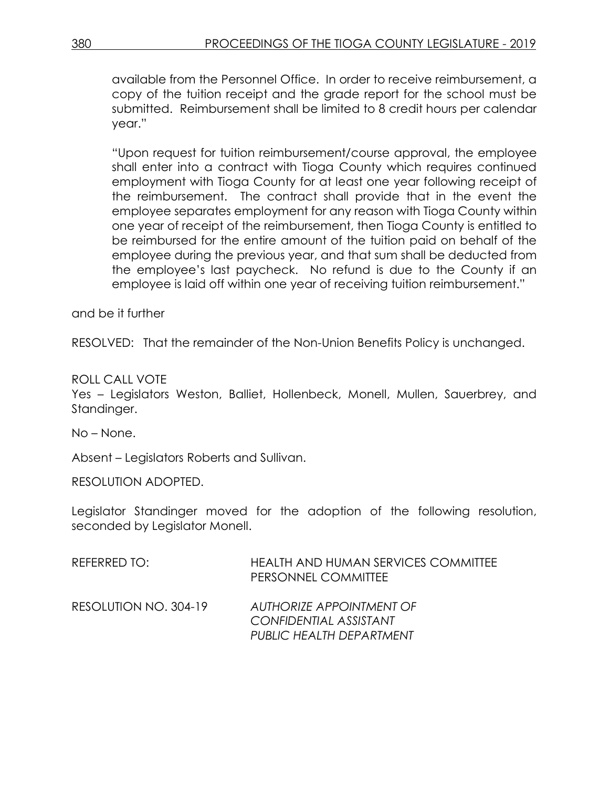available from the Personnel Office. In order to receive reimbursement, a copy of the tuition receipt and the grade report for the school must be submitted. Reimbursement shall be limited to 8 credit hours per calendar year."

"Upon request for tuition reimbursement/course approval, the employee shall enter into a contract with Tioga County which requires continued employment with Tioga County for at least one year following receipt of the reimbursement. The contract shall provide that in the event the employee separates employment for any reason with Tioga County within one year of receipt of the reimbursement, then Tioga County is entitled to be reimbursed for the entire amount of the tuition paid on behalf of the employee during the previous year, and that sum shall be deducted from the employee's last paycheck. No refund is due to the County if an employee is laid off within one year of receiving tuition reimbursement."

and be it further

RESOLVED: That the remainder of the Non-Union Benefits Policy is unchanged.

ROLL CALL VOTE

Yes – Legislators Weston, Balliet, Hollenbeck, Monell, Mullen, Sauerbrey, and Standinger.

No – None.

Absent – Legislators Roberts and Sullivan.

RESOLUTION ADOPTED.

Legislator Standinger moved for the adoption of the following resolution, seconded by Legislator Monell.

| REFERRED TO:          | <b>HEALTH AND HUMAN SERVICES COMMITTEE</b><br>PERSONNEL COMMITTEE              |
|-----------------------|--------------------------------------------------------------------------------|
| RESOLUTION NO. 304-19 | AUTHORIZE APPOINTMENT OF<br>CONFIDENTIAL ASSISTANT<br>PUBLIC HEALTH DEPARTMENT |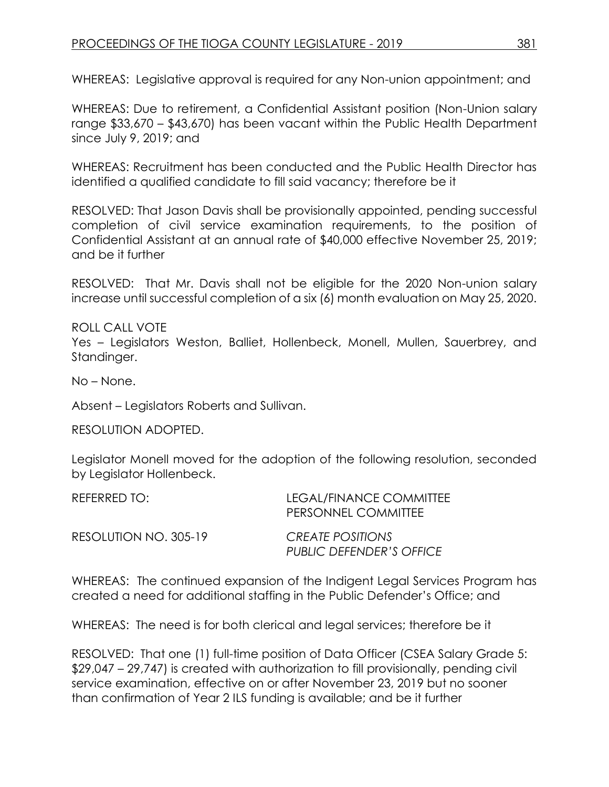WHEREAS: Legislative approval is required for any Non-union appointment; and

WHEREAS: Due to retirement, a Confidential Assistant position (Non-Union salary range \$33,670 – \$43,670) has been vacant within the Public Health Department since July 9, 2019; and

WHEREAS: Recruitment has been conducted and the Public Health Director has identified a qualified candidate to fill said vacancy; therefore be it

RESOLVED: That Jason Davis shall be provisionally appointed, pending successful completion of civil service examination requirements, to the position of Confidential Assistant at an annual rate of \$40,000 effective November 25, 2019; and be it further

RESOLVED: That Mr. Davis shall not be eligible for the 2020 Non-union salary increase until successful completion of a six (6) month evaluation on May 25, 2020.

ROLL CALL VOTE Yes – Legislators Weston, Balliet, Hollenbeck, Monell, Mullen, Sauerbrey, and Standinger.

No – None.

Absent – Legislators Roberts and Sullivan.

RESOLUTION ADOPTED.

Legislator Monell moved for the adoption of the following resolution, seconded by Legislator Hollenbeck.

| REFERRED TO:          | LEGAL/FINANCE COMMITTEE<br>PERSONNEL COMMITTEE |
|-----------------------|------------------------------------------------|
| RESOLUTION NO. 305-19 | CREATE POSITIONS<br>PUBLIC DEFENDER'S OFFICE   |

WHEREAS: The continued expansion of the Indigent Legal Services Program has created a need for additional staffing in the Public Defender's Office; and

WHEREAS: The need is for both clerical and legal services; therefore be it

RESOLVED: That one (1) full-time position of Data Officer (CSEA Salary Grade 5: \$29,047 – 29,747) is created with authorization to fill provisionally, pending civil service examination, effective on or after November 23, 2019 but no sooner than confirmation of Year 2 ILS funding is available; and be it further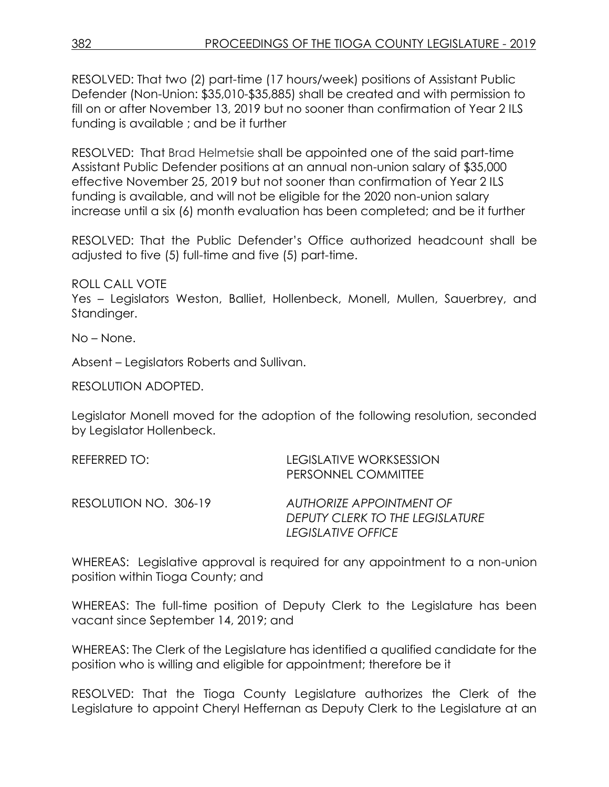RESOLVED: That two (2) part-time (17 hours/week) positions of Assistant Public Defender (Non-Union: \$35,010-\$35,885) shall be created and with permission to fill on or after November 13, 2019 but no sooner than confirmation of Year 2 ILS funding is available ; and be it further

RESOLVED: That Brad Helmetsie shall be appointed one of the said part-time Assistant Public Defender positions at an annual non-union salary of \$35,000 effective November 25, 2019 but not sooner than confirmation of Year 2 ILS funding is available, and will not be eligible for the 2020 non-union salary increase until a six (6) month evaluation has been completed; and be it further

RESOLVED: That the Public Defender's Office authorized headcount shall be adjusted to five (5) full-time and five (5) part-time.

ROLL CALL VOTE

Yes – Legislators Weston, Balliet, Hollenbeck, Monell, Mullen, Sauerbrey, and Standinger.

No – None.

Absent – Legislators Roberts and Sullivan.

RESOLUTION ADOPTED.

Legislator Monell moved for the adoption of the following resolution, seconded by Legislator Hollenbeck.

| REFERRED TO:          | LEGISLATIVE WORKSESSION<br>PERSONNEL COMMITTEE                                           |
|-----------------------|------------------------------------------------------------------------------------------|
| RESOLUTION NO. 306-19 | AUTHORIZE APPOINTMENT OF<br>DEPUTY CLERK TO THE LEGISLATURE<br><b>LEGISLATIVE OFFICE</b> |

WHEREAS: Legislative approval is required for any appointment to a non-union position within Tioga County; and

WHEREAS: The full-time position of Deputy Clerk to the Legislature has been vacant since September 14, 2019; and

WHEREAS: The Clerk of the Legislature has identified a qualified candidate for the position who is willing and eligible for appointment; therefore be it

RESOLVED: That the Tioga County Legislature authorizes the Clerk of the Legislature to appoint Cheryl Heffernan as Deputy Clerk to the Legislature at an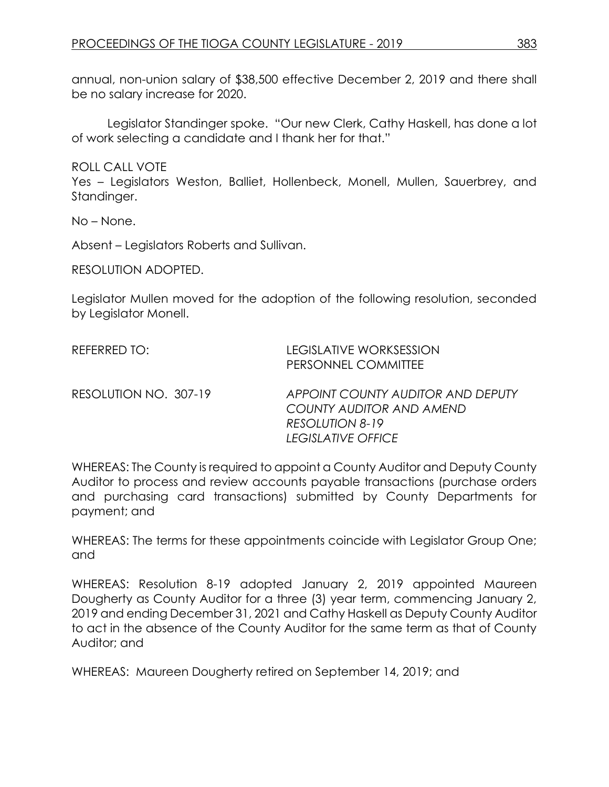annual, non-union salary of \$38,500 effective December 2, 2019 and there shall be no salary increase for 2020.

Legislator Standinger spoke. "Our new Clerk, Cathy Haskell, has done a lot of work selecting a candidate and I thank her for that."

ROLL CALL VOTE

Yes – Legislators Weston, Balliet, Hollenbeck, Monell, Mullen, Sauerbrey, and Standinger.

No – None.

Absent – Legislators Roberts and Sullivan.

RESOLUTION ADOPTED.

Legislator Mullen moved for the adoption of the following resolution, seconded by Legislator Monell.

| REFERRED TO:          | LEGISLATIVE WORKSESSION<br>PERSONNEL COMMITTEE                                                                |
|-----------------------|---------------------------------------------------------------------------------------------------------------|
| RESOLUTION NO. 307-19 | APPOINT COUNTY AUDITOR AND DEPUTY<br>COUNTY AUDITOR AND AMEND<br><b>RESOLUTION 8-19</b><br>LEGISLATIVE OFFICE |

WHEREAS: The County is required to appoint a County Auditor and Deputy County Auditor to process and review accounts payable transactions (purchase orders and purchasing card transactions) submitted by County Departments for payment; and

WHEREAS: The terms for these appointments coincide with Legislator Group One; and

WHEREAS: Resolution 8-19 adopted January 2, 2019 appointed Maureen Dougherty as County Auditor for a three (3) year term, commencing January 2, 2019 and ending December 31, 2021 and Cathy Haskell as Deputy County Auditor to act in the absence of the County Auditor for the same term as that of County Auditor; and

WHEREAS: Maureen Dougherty retired on September 14, 2019; and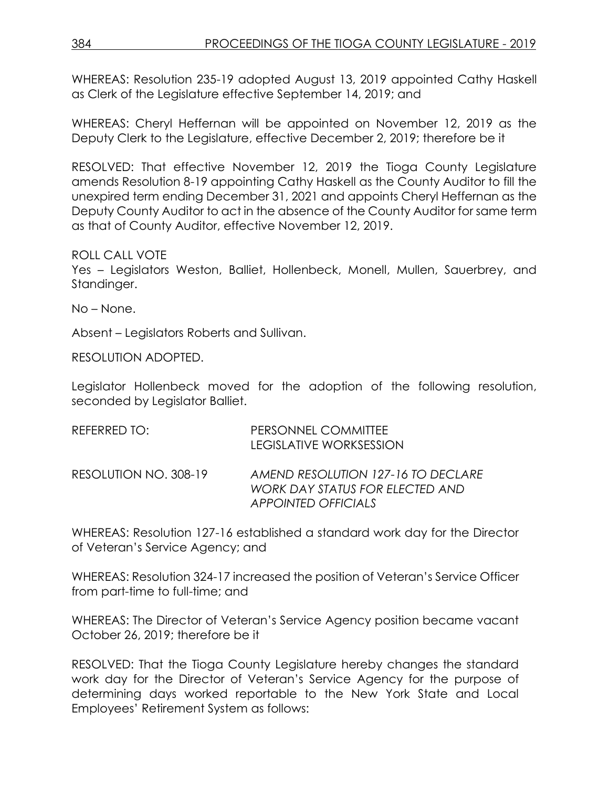WHEREAS: Resolution 235-19 adopted August 13, 2019 appointed Cathy Haskell as Clerk of the Legislature effective September 14, 2019; and

WHEREAS: Cheryl Heffernan will be appointed on November 12, 2019 as the Deputy Clerk to the Legislature, effective December 2, 2019; therefore be it

RESOLVED: That effective November 12, 2019 the Tioga County Legislature amends Resolution 8-19 appointing Cathy Haskell as the County Auditor to fill the unexpired term ending December 31, 2021 and appoints Cheryl Heffernan as the Deputy County Auditor to act in the absence of the County Auditor for same term as that of County Auditor, effective November 12, 2019.

### ROLL CALL VOTE

Yes – Legislators Weston, Balliet, Hollenbeck, Monell, Mullen, Sauerbrey, and Standinger.

No – None.

Absent – Legislators Roberts and Sullivan.

RESOLUTION ADOPTED.

Legislator Hollenbeck moved for the adoption of the following resolution, seconded by Legislator Balliet.

| REFERRED TO:          | PERSONNEL COMMITTEE<br><b>LEGISLATIVE WORKSESSION</b>                                               |
|-----------------------|-----------------------------------------------------------------------------------------------------|
| RESOLUTION NO. 308-19 | AMEND RESOLUTION 127-16 TO DECLARE<br>WORK DAY STATUS FOR ELECTED AND<br><b>APPOINTED OFFICIALS</b> |

WHEREAS: Resolution 127-16 established a standard work day for the Director of Veteran's Service Agency; and

WHEREAS: Resolution 324-17 increased the position of Veteran's Service Officer from part-time to full-time; and

WHEREAS: The Director of Veteran's Service Agency position became vacant October 26, 2019; therefore be it

RESOLVED: That the Tioga County Legislature hereby changes the standard work day for the Director of Veteran's Service Agency for the purpose of determining days worked reportable to the New York State and Local Employees' Retirement System as follows: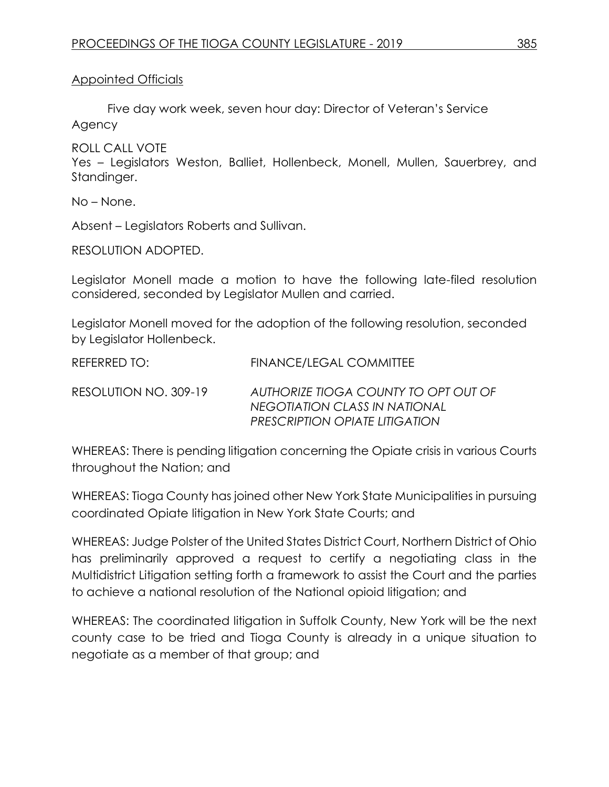### Appointed Officials

Five day work week, seven hour day: Director of Veteran's Service Agency

ROLL CALL VOTE

Yes – Legislators Weston, Balliet, Hollenbeck, Monell, Mullen, Sauerbrey, and Standinger.

No – None.

Absent – Legislators Roberts and Sullivan.

RESOLUTION ADOPTED.

Legislator Monell made a motion to have the following late-filed resolution considered, seconded by Legislator Mullen and carried.

Legislator Monell moved for the adoption of the following resolution, seconded by Legislator Hollenbeck.

REFERRED TO: FINANCE/LEGAL COMMITTEE

RESOLUTION NO. 309-19 *AUTHORIZE TIOGA COUNTY TO OPT OUT OF NEGOTIATION CLASS IN NATIONAL PRESCRIPTION OPIATE LITIGATION* 

WHEREAS: There is pending litigation concerning the Opiate crisis in various Courts throughout the Nation; and

WHEREAS: Tioga County has joined other New York State Municipalities in pursuing coordinated Opiate litigation in New York State Courts; and

WHEREAS: Judge Polster of the United States District Court, Northern District of Ohio has preliminarily approved a request to certify a negotiating class in the Multidistrict Litigation setting forth a framework to assist the Court and the parties to achieve a national resolution of the National opioid litigation; and

WHEREAS: The coordinated litigation in Suffolk County, New York will be the next county case to be tried and Tioga County is already in a unique situation to negotiate as a member of that group; and